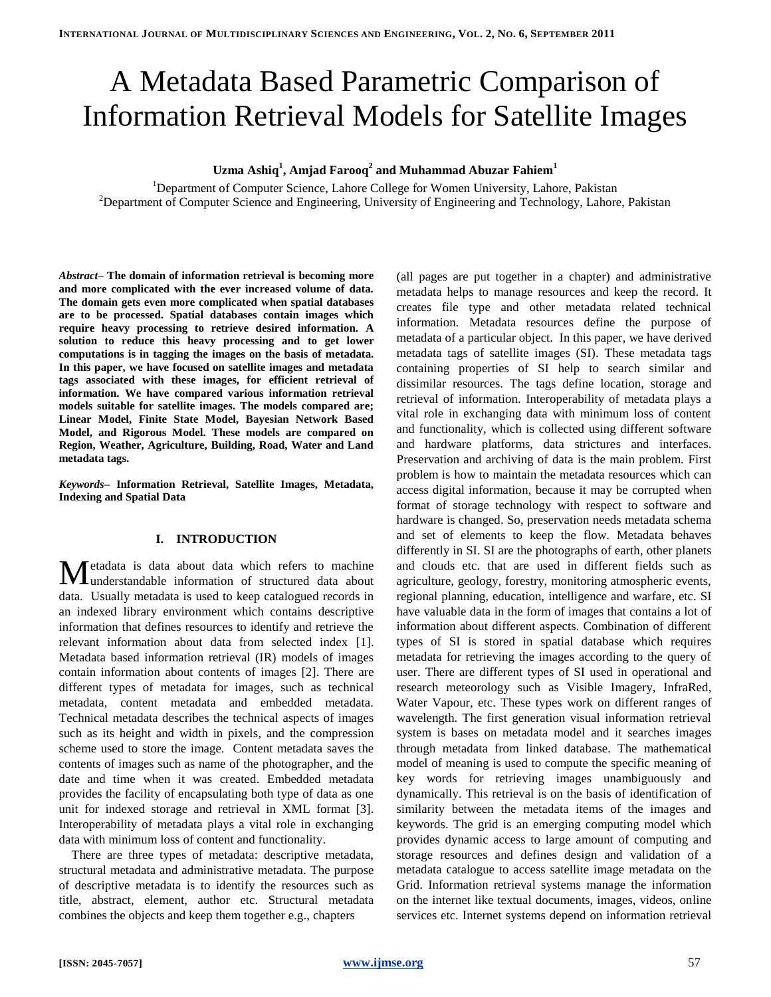# A Metadata Based Parametric Comparison of Information Retrieval Models for Satellite Images

# **Uzma Ashiq<sup>1</sup> , Amjad Farooq<sup>2</sup> and Muhammad Abuzar Fahiem<sup>1</sup>**

<sup>1</sup>Department of Computer Science, Lahore College for Women University, Lahore, Pakistan <sup>2</sup>Department of Computer Science and Engineering, University of Engineering and Technology, Lahore, Pakistan

*Abstract***– The domain of information retrieval is becoming more and more complicated with the ever increased volume of data. The domain gets even more complicated when spatial databases are to be processed. Spatial databases contain images which require heavy processing to retrieve desired information. A solution to reduce this heavy processing and to get lower computations is in tagging the images on the basis of metadata. In this paper, we have focused on satellite images and metadata tags associated with these images, for efficient retrieval of information. We have compared various information retrieval models suitable for satellite images. The models compared are; Linear Model, Finite State Model, Bayesian Network Based Model, and Rigorous Model. These models are compared on Region, Weather, Agriculture, Building, Road, Water and Land metadata tags.** 

*Keywords***– Information Retrieval, Satellite Images, Metadata, Indexing and Spatial Data**

## **I. INTRODUCTION**

etadata is data about data which refers to machine **M** etadata is data about data which refers to machine understandable information of structured data about data. Usually metadata is used to keep catalogued records in an indexed library environment which contains descriptive information that defines resources to identify and retrieve the relevant information about data from selected index [1]. Metadata based information retrieval (IR) models of images contain information about contents of images [2]. There are different types of metadata for images, such as technical metadata, content metadata and embedded metadata. Technical metadata describes the technical aspects of images such as its height and width in pixels, and the compression scheme used to store the image. Content metadata saves the contents of images such as name of the photographer, and the date and time when it was created. Embedded metadata provides the facility of encapsulating both type of data as one unit for indexed storage and retrieval in XML format [3]. Interoperability of metadata plays a vital role in exchanging data with minimum loss of content and functionality.

There are three types of metadata: descriptive metadata, structural metadata and administrative metadata. The purpose of descriptive metadata is to identify the resources such as title, abstract, element, author etc. Structural metadata combines the objects and keep them together e.g., chapters

(all pages are put together in a chapter) and administrative metadata helps to manage resources and keep the record. It creates file type and other metadata related technical information. Metadata resources define the purpose of metadata of a particular object. In this paper, we have derived metadata tags of satellite images (SI). These metadata tags containing properties of SI help to search similar and dissimilar resources. The tags define location, storage and retrieval of information. Interoperability of metadata plays a vital role in exchanging data with minimum loss of content and functionality, which is collected using different software and hardware platforms, data strictures and interfaces. Preservation and archiving of data is the main problem. First problem is how to maintain the metadata resources which can access digital information, because it may be corrupted when format of storage technology with respect to software and hardware is changed. So, preservation needs metadata schema and set of elements to keep the flow. Metadata behaves differently in SI. SI are the photographs of earth, other planets and clouds etc. that are used in different fields such as agriculture, geology, forestry, monitoring atmospheric events, regional planning, education, intelligence and warfare, etc. SI have valuable data in the form of images that contains a lot of information about different aspects. Combination of different types of SI is stored in spatial database which requires metadata for retrieving the images according to the query of user. There are different types of SI used in operational and research meteorology such as Visible Imagery, InfraRed, Water Vapour, etc. These types work on different ranges of wavelength. The first generation visual information retrieval system is bases on metadata model and it searches images through metadata from linked database. The mathematical model of meaning is used to compute the specific meaning of key words for retrieving images unambiguously and dynamically. This retrieval is on the basis of identification of similarity between the metadata items of the images and keywords. The grid is an emerging computing model which provides dynamic access to large amount of computing and storage resources and defines design and validation of a metadata catalogue to access satellite image metadata on the Grid. Information retrieval systems manage the information on the internet like textual documents, images, videos, online services etc. Internet systems depend on information retrieval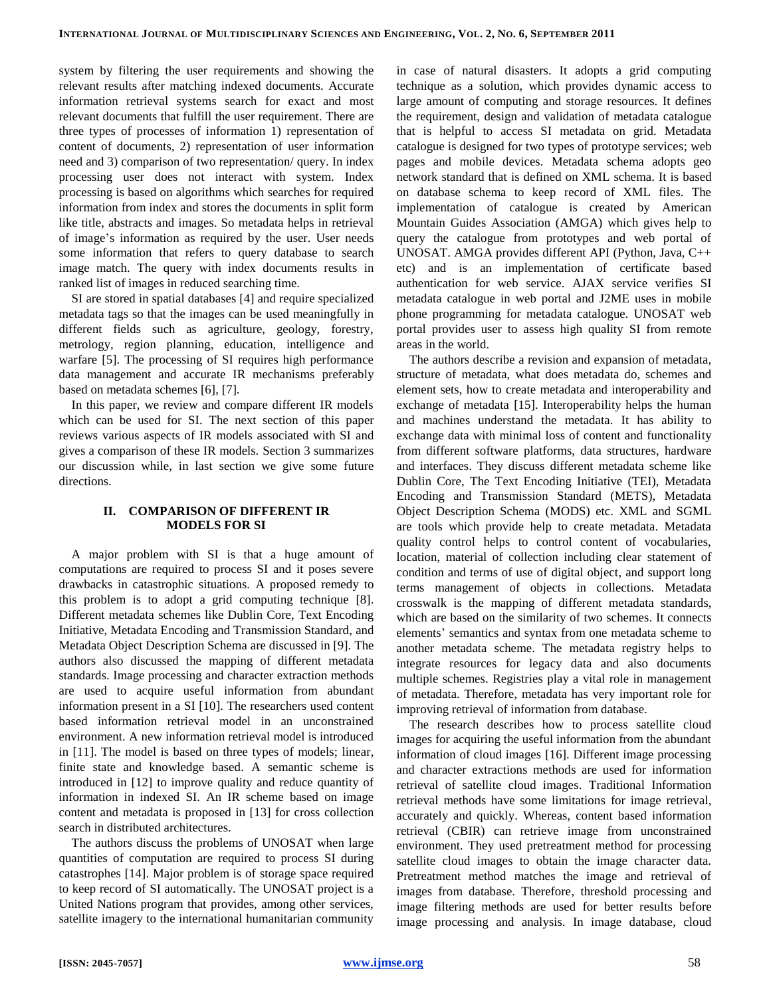system by filtering the user requirements and showing the relevant results after matching indexed documents. Accurate information retrieval systems search for exact and most relevant documents that fulfill the user requirement. There are three types of processes of information 1) representation of content of documents, 2) representation of user information need and 3) comparison of two representation/ query. In index processing user does not interact with system. Index processing is based on algorithms which searches for required information from index and stores the documents in split form like title, abstracts and images. So metadata helps in retrieval of image's information as required by the user. User needs some information that refers to query database to search image match. The query with index documents results in ranked list of images in reduced searching time.

SI are stored in spatial databases [4] and require specialized metadata tags so that the images can be used meaningfully in different fields such as agriculture, geology, forestry, metrology, region planning, education, intelligence and warfare [5]. The processing of SI requires high performance data management and accurate IR mechanisms preferably based on metadata schemes [6], [7].

In this paper, we review and compare different IR models which can be used for SI. The next section of this paper reviews various aspects of IR models associated with SI and gives a comparison of these IR models. Section 3 summarizes our discussion while, in last section we give some future directions.

#### **II. COMPARISON OF DIFFERENT IR MODELS FOR SI**

A major problem with SI is that a huge amount of computations are required to process SI and it poses severe drawbacks in catastrophic situations. A proposed remedy to this problem is to adopt a grid computing technique [8]. Different metadata schemes like Dublin Core, Text Encoding Initiative, Metadata Encoding and Transmission Standard, and Metadata Object Description Schema are discussed in [9]. The authors also discussed the mapping of different metadata standards. Image processing and character extraction methods are used to acquire useful information from abundant information present in a SI [10]. The researchers used content based information retrieval model in an unconstrained environment. A new information retrieval model is introduced in [11]. The model is based on three types of models; linear, finite state and knowledge based. A semantic scheme is introduced in [12] to improve quality and reduce quantity of information in indexed SI. An IR scheme based on image content and metadata is proposed in [13] for cross collection search in distributed architectures.

The authors discuss the problems of UNOSAT when large quantities of computation are required to process SI during catastrophes [14]. Major problem is of storage space required to keep record of SI automatically. The UNOSAT project is a United Nations program that provides, among other services, satellite imagery to the international humanitarian community in case of natural disasters. It adopts a grid computing technique as a solution, which provides dynamic access to large amount of computing and storage resources. It defines the requirement, design and validation of metadata catalogue that is helpful to access SI metadata on grid. Metadata catalogue is designed for two types of prototype services; web pages and mobile devices. Metadata schema adopts geo network standard that is defined on XML schema. It is based on database schema to keep record of XML files. The implementation of catalogue is created by American Mountain Guides Association (AMGA) which gives help to query the catalogue from prototypes and web portal of UNOSAT. AMGA provides different API (Python, Java, C++ etc) and is an implementation of certificate based authentication for web service. AJAX service verifies SI metadata catalogue in web portal and J2ME uses in mobile phone programming for metadata catalogue. UNOSAT web portal provides user to assess high quality SI from remote areas in the world.

The authors describe a revision and expansion of metadata, structure of metadata, what does metadata do, schemes and element sets, how to create metadata and interoperability and exchange of metadata [15]. Interoperability helps the human and machines understand the metadata. It has ability to exchange data with minimal loss of content and functionality from different software platforms, data structures, hardware and interfaces. They discuss different metadata scheme like Dublin Core, The Text Encoding Initiative (TEI), Metadata Encoding and Transmission Standard (METS), Metadata Object Description Schema (MODS) etc. XML and SGML are tools which provide help to create metadata. Metadata quality control helps to control content of vocabularies, location, material of collection including clear statement of condition and terms of use of digital object, and support long terms management of objects in collections. Metadata crosswalk is the mapping of different metadata standards, which are based on the similarity of two schemes. It connects elements' semantics and syntax from one metadata scheme to another metadata scheme. The metadata registry helps to integrate resources for legacy data and also documents multiple schemes. Registries play a vital role in management of metadata. Therefore, metadata has very important role for improving retrieval of information from database.

The research describes how to process satellite cloud images for acquiring the useful information from the abundant information of cloud images [16]. Different image processing and character extractions methods are used for information retrieval of satellite cloud images. Traditional Information retrieval methods have some limitations for image retrieval, accurately and quickly. Whereas, content based information retrieval (CBIR) can retrieve image from unconstrained environment. They used pretreatment method for processing satellite cloud images to obtain the image character data. Pretreatment method matches the image and retrieval of images from database. Therefore, threshold processing and image filtering methods are used for better results before image processing and analysis. In image database, cloud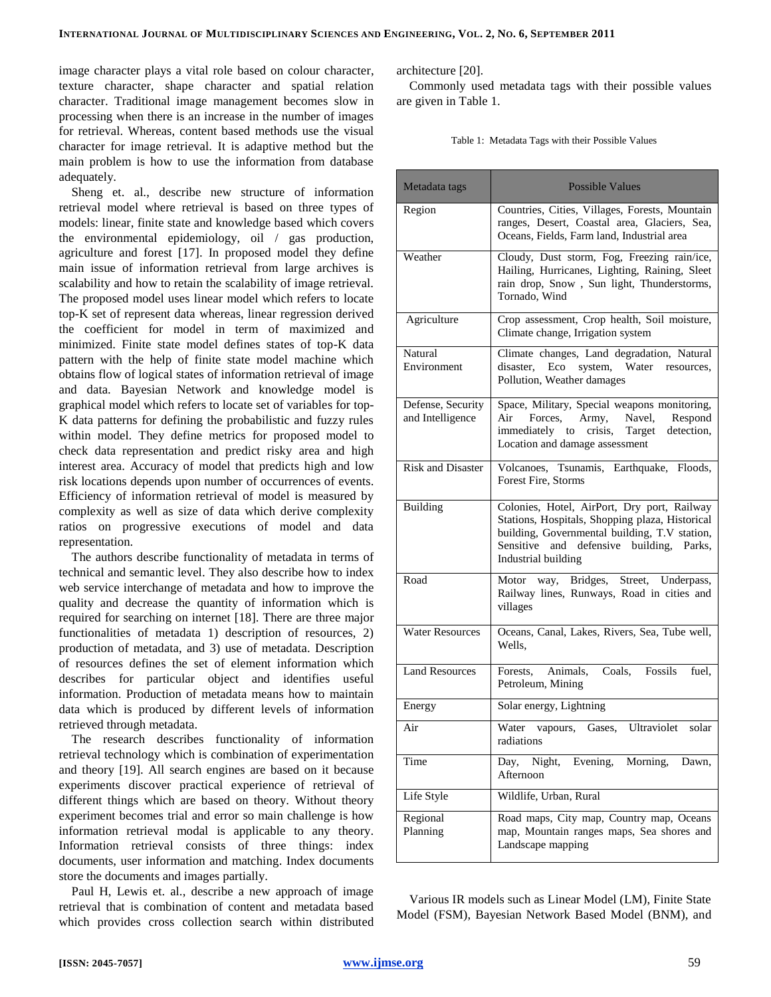image character plays a vital role based on colour character, texture character, shape character and spatial relation character. Traditional image management becomes slow in processing when there is an increase in the number of images for retrieval. Whereas, content based methods use the visual character for image retrieval. It is adaptive method but the main problem is how to use the information from database adequately.

Sheng et. al., describe new structure of information retrieval model where retrieval is based on three types of models: linear, finite state and knowledge based which covers the environmental epidemiology, oil / gas production, agriculture and forest [17]. In proposed model they define main issue of information retrieval from large archives is scalability and how to retain the scalability of image retrieval. The proposed model uses linear model which refers to locate top-K set of represent data whereas, linear regression derived the coefficient for model in term of maximized and minimized. Finite state model defines states of top-K data pattern with the help of finite state model machine which obtains flow of logical states of information retrieval of image and data. Bayesian Network and knowledge model is graphical model which refers to locate set of variables for top-K data patterns for defining the probabilistic and fuzzy rules within model. They define metrics for proposed model to check data representation and predict risky area and high interest area. Accuracy of model that predicts high and low risk locations depends upon number of occurrences of events. Efficiency of information retrieval of model is measured by complexity as well as size of data which derive complexity ratios on progressive executions of model and data representation.

The authors describe functionality of metadata in terms of technical and semantic level. They also describe how to index web service interchange of metadata and how to improve the quality and decrease the quantity of information which is required for searching on internet [18]. There are three major functionalities of metadata 1) description of resources, 2) production of metadata, and 3) use of metadata. Description of resources defines the set of element information which describes for particular object and identifies useful information. Production of metadata means how to maintain data which is produced by different levels of information retrieved through metadata.

The research describes functionality of information retrieval technology which is combination of experimentation and theory [19]. All search engines are based on it because experiments discover practical experience of retrieval of different things which are based on theory. Without theory experiment becomes trial and error so main challenge is how information retrieval modal is applicable to any theory. Information retrieval consists of three things: index documents, user information and matching. Index documents store the documents and images partially.

Paul H, Lewis et. al., describe a new approach of image retrieval that is combination of content and metadata based which provides cross collection search within distributed architecture [20].

Commonly used metadata tags with their possible values are given in Table 1.

| Table 1: Metadata Tags with their Possible Values |
|---------------------------------------------------|
|                                                   |

| Metadata tags                         | <b>Possible Values</b>                                                                                                                                                                                             |  |  |  |
|---------------------------------------|--------------------------------------------------------------------------------------------------------------------------------------------------------------------------------------------------------------------|--|--|--|
| Region                                | Countries, Cities, Villages, Forests, Mountain<br>ranges, Desert, Coastal area, Glaciers, Sea,<br>Oceans, Fields, Farm land, Industrial area                                                                       |  |  |  |
| Weather                               | Cloudy, Dust storm, Fog, Freezing rain/ice,<br>Hailing, Hurricanes, Lighting, Raining, Sleet<br>rain drop, Snow, Sun light, Thunderstorms,<br>Tornado, Wind                                                        |  |  |  |
| Agriculture                           | Crop assessment, Crop health, Soil moisture,<br>Climate change, Irrigation system                                                                                                                                  |  |  |  |
| Natural<br>Environment                | Climate changes, Land degradation, Natural<br>Eco system,<br>disaster.<br>Water<br>resources,<br>Pollution, Weather damages                                                                                        |  |  |  |
| Defense, Security<br>and Intelligence | Space, Military, Special weapons monitoring,<br>Air Forces, Army, Navel,<br>Respond<br>immediately to crisis, Target<br>detection,<br>Location and damage assessment                                               |  |  |  |
| <b>Risk and Disaster</b>              | Volcanoes, Tsunamis, Earthquake, Floods,<br>Forest Fire, Storms                                                                                                                                                    |  |  |  |
| Building                              | Colonies, Hotel, AirPort, Dry port, Railway<br>Stations, Hospitals, Shopping plaza, Historical<br>building, Governmental building, T.V station,<br>Sensitive and defensive building, Parks,<br>Industrial building |  |  |  |
| Road                                  | way, Bridges, Street, Underpass,<br>Motor<br>Railway lines, Runways, Road in cities and<br>villages                                                                                                                |  |  |  |
| <b>Water Resources</b>                | Oceans, Canal, Lakes, Rivers, Sea, Tube well,<br>Wells,                                                                                                                                                            |  |  |  |
| <b>Land Resources</b>                 | Fossils<br>Animals,<br>Coals,<br>fuel,<br>Forests,<br>Petroleum, Mining                                                                                                                                            |  |  |  |
| Energy                                | Solar energy, Lightning                                                                                                                                                                                            |  |  |  |
| Air                                   | Water<br>Ultraviolet<br>solar<br>vapours,<br>Gases,<br>radiations                                                                                                                                                  |  |  |  |
| Time                                  | Night, Evening, Morning,<br>Dawn,<br>Day,<br>Afternoon                                                                                                                                                             |  |  |  |
| Life Style                            | Wildlife, Urban, Rural                                                                                                                                                                                             |  |  |  |
| Regional<br>Planning                  | Road maps, City map, Country map, Oceans<br>map, Mountain ranges maps, Sea shores and<br>Landscape mapping                                                                                                         |  |  |  |

Various IR models such as Linear Model (LM), Finite State Model (FSM), Bayesian Network Based Model (BNM), and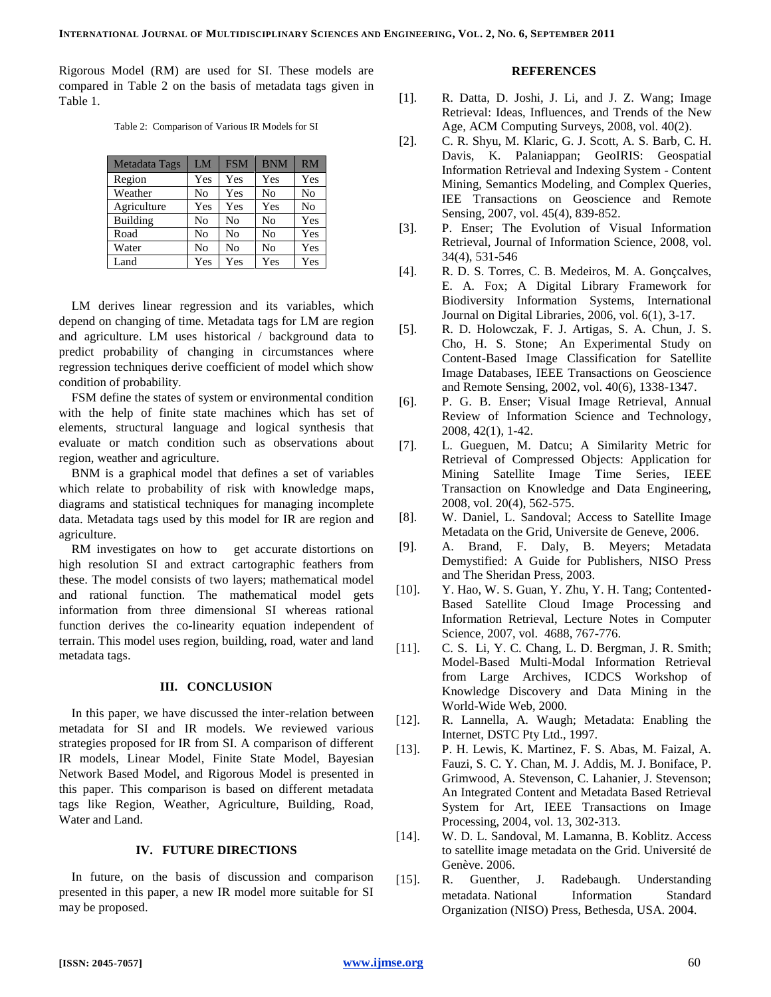Rigorous Model (RM) are used for SI. These models are compared in Table 2 on the basis of metadata tags given in Table 1.

Table 2: Comparison of Various IR Models for SI

| Metadata Tags   | LM  | <b>FSM</b> | <b>BNM</b> | RM  |
|-----------------|-----|------------|------------|-----|
| Region          | Yes | Yes        | Yes        | Yes |
| Weather         | No  | Yes        | No         | No  |
| Agriculture     | Yes | Yes        | Yes        | No  |
| <b>Building</b> | No  | No         | No         | Yes |
| Road            | No  | No         | No         | Yes |
| Water           | No  | No         | No         | Yes |
| Land            | Yes | Yes        | Yes        | Yes |

LM derives linear regression and its variables, which depend on changing of time. Metadata tags for LM are region and agriculture. LM uses historical / background data to predict probability of changing in circumstances where regression techniques derive coefficient of model which show condition of probability.

FSM define the states of system or environmental condition with the help of finite state machines which has set of elements, structural language and logical synthesis that evaluate or match condition such as observations about region, weather and agriculture.

BNM is a graphical model that defines a set of variables which relate to probability of risk with knowledge maps, diagrams and statistical techniques for managing incomplete data. Metadata tags used by this model for IR are region and agriculture.

RM investigates on how to get accurate distortions on high resolution SI and extract cartographic feathers from these. The model consists of two layers; mathematical model and rational function. The mathematical model gets information from three dimensional SI whereas rational function derives the co-linearity equation independent of terrain. This model uses region, building, road, water and land metadata tags.

#### **III. CONCLUSION**

In this paper, we have discussed the inter-relation between metadata for SI and IR models. We reviewed various strategies proposed for IR from SI. A comparison of different IR models, Linear Model, Finite State Model, Bayesian Network Based Model, and Rigorous Model is presented in this paper. This comparison is based on different metadata tags like Region, Weather, Agriculture, Building, Road, Water and Land.

## **IV. FUTURE DIRECTIONS**

In future, on the basis of discussion and comparison presented in this paper, a new IR model more suitable for SI may be proposed.

# **REFERENCES**

- [1]. R. Datta, D. Joshi, J. Li, and J. Z. Wang; Image Retrieval: Ideas, Influences, and Trends of the New Age, ACM Computing Surveys, 2008, vol. 40(2).
- [2]. C. R. Shyu, M. Klaric, G. J. Scott, A. S. Barb, C. H. Davis, K. Palaniappan; GeoIRIS: Geospatial Information Retrieval and Indexing System - Content Mining, Semantics Modeling, and Complex Queries, IEE Transactions on [Geoscience and Remote](http://ieeexplore.ieee.org/xpl/RecentIssue.jsp?punumber=36)  [Sensing,](http://ieeexplore.ieee.org/xpl/RecentIssue.jsp?punumber=36) 2007, vol. 45(4), 839-852.
- [3]. P. Enser; The Evolution of Visual Information Retrieval, Journal of Information Science, 2008, vol. 34(4), 531-546
- [4]. R. D. S. Torres, C. B. Medeiros, M. A. Gonçcalves, E. A. Fox; A Digital Library Framework for Biodiversity Information Systems, International Journal on Digital Libraries, 2006, vol. 6(1), 3-17.
- [5]. R. D. Holowczak, F. J. Artigas, S. A. Chun, J. S. Cho, H. S. Stone; An Experimental Study on Content-Based Image Classification for Satellite Image Databases, IEEE Transactions on [Geoscience](http://ieeexplore.ieee.org/xpl/RecentIssue.jsp?punumber=36)  [and Remote Sensing,](http://ieeexplore.ieee.org/xpl/RecentIssue.jsp?punumber=36) 2002, vol. 40(6), 1338-1347.
- [6]. P. G. B. Enser; Visual Image Retrieval, Annual Review of Information Science and Technology, 2008, 42(1), 1-42.
- [7]. L. Gueguen, M. Datcu; A Similarity Metric for Retrieval of Compressed Objects: Application for Mining Satellite Image Time Series, IEEE Transaction on Knowledge and Data Engineering, 2008, vol. 20(4), 562-575.
- [8]. W. Daniel, L. Sandoval; Access to Satellite Image Metadata on the Grid, Universite de Geneve, 2006.
- [9]. A. Brand, F. Daly, B. Meyers; Metadata Demystified: A Guide for Publishers, NISO Press and The Sheridan Press, 2003.
- [10]. Y. Hao, W. S. Guan, Y. Zhu, Y. H. Tang; Contented-Based Satellite Cloud Image Processing and Information Retrieval, Lecture Notes in Computer Science, 2007, vol. 4688, 767-776.
- [11]. C. S. Li, Y. C. Chang, L. D. Bergman, J. R. Smith; Model-Based Multi-Modal Information Retrieval from Large Archives, ICDCS Workshop of Knowledge Discovery and Data Mining in the World-Wide Web, 2000.
- [12]. R. Lannella, A. Waugh; Metadata: Enabling the Internet, DSTC Pty Ltd., 1997.
- [13]. P. H. Lewis, K. Martinez, F. S. Abas, M. Faizal, A. Fauzi, S. C. Y. Chan, M. J. Addis, M. J. Boniface, P. Grimwood, A. Stevenson, C. Lahanier, J. Stevenson; An Integrated Content and Metadata Based Retrieval System for Art, IEEE Transactions on Image Processing, 2004, vol. 13, 302-313.
- [14]. W. D. L. Sandoval, M. Lamanna, B. Koblitz. Access to satellite image metadata on the Grid. Université de Genève. 2006.
- [15]. R. Guenther, J. Radebaugh. Understanding metadata. National Information Standard Organization (NISO) Press, Bethesda, USA. 2004.